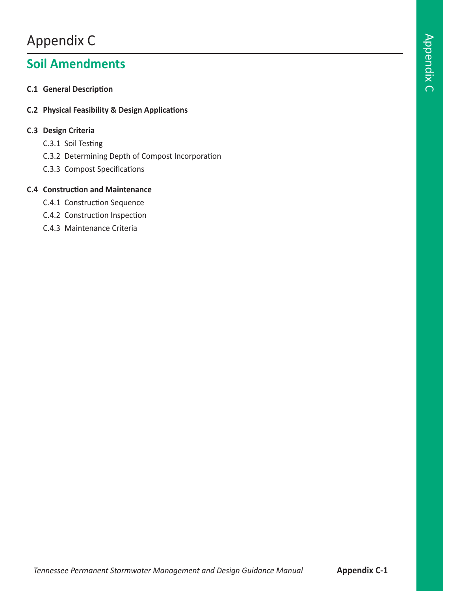# Appendix C

# **Soil Amendments**

- **C.1 General Description**
- **C.2 Physical Feasibility & Design Applications**

#### **C.3 Design Criteria**

- C.3.1 Soil Testing
- C.3.2 Determining Depth of Compost Incorporation
- C.3.3 Compost Specifications

#### **C.4 Construction and Maintenance**

- C.4.1 Construction Sequence
- C.4.2 Construction Inspection
- C.4.3 Maintenance Criteria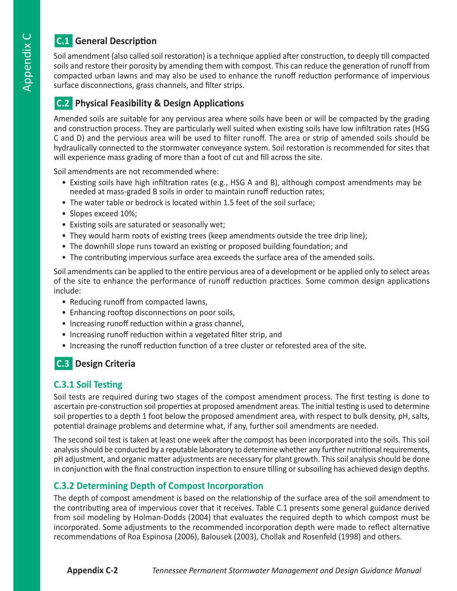# n**C.1 General Description**

Soil amendment (also called soil restoration) is a technique applied after construction, to deeply till compacted soils and restore their porosity by amending them with compost. This can reduce the generation of runoff from compacted urban lawns and may also be used to enhance the runoff reduction performance of impervious surface disconnections, grass channels, and filter strips.

# **C.2 Physical Feasibility & Design Applications**

Amended soils are suitable for any pervious area where soils have been or will be compacted by the grading and construction process. They are particularly well suited when existing soils have low infiltration rates (HSG C and D) and the pervious area will be used to filter runoff. The area or strip of amended soils should be hydraulically connected to the stormwater conveyance system. Soil restoration is recommended for sites that will experience mass grading of more than a foot of cut and fill across the site.

Soil amendments are not recommended where:

- Existing soils have high infiltration rates (e.g., HSG A and B), although compost amendments may be needed at mass-graded B soils in order to maintain runoff reduction rates;
- The water table or bedrock is located within 1.5 feet of the soil surface;
- Slopes exceed 10%;
- Existing soils are saturated or seasonally wet;
- They would harm roots of existing trees (keep amendments outside the tree drip line);
- The downhill slope runs toward an existing or proposed building foundation; and
- The contributing impervious surface area exceeds the surface area of the amended soils.

Soil amendments can be applied to the entire pervious area of a development or be applied only to select areas of the site to enhance the performance of runoff reduction practices. Some common design applications include:

- Reducing runoff from compacted lawns,
- Enhancing rooftop disconnections on poor soils,
- Increasing runoff reduction within a grass channel,
- Increasing runoff reduction within a vegetated filter strip, and
- Increasing the runoff reduction function of a tree cluster or reforested area of the site.

# **C.3** Design Criteria

## **C.3.1 Soil Testing**

Soil tests are required during two stages of the compost amendment process. The first testing is done to ascertain pre-construction soil properties at proposed amendment areas. The initial testing is used to determine soil properties to a depth 1 foot below the proposed amendment area, with respect to bulk density, pH, salts, potential drainage problems and determine what, if any, further soil amendments are needed.

The second soil test is taken at least one week after the compost has been incorporated into the soils. This soil analysis should be conducted by a reputable laboratory to determine whether any further nutritional requirements, pH adjustment, and organic matter adjustments are necessary for plant growth. This soil analysis should be done in conjunction with the final construction inspection to ensure tilling or subsoiling has achieved design depths.

## **C.3.2 Determining Depth of Compost Incorporation**

The depth of compost amendment is based on the relationship of the surface area of the soil amendment to the contributing area of impervious cover that it receives. Table C.1 presents some general guidance derived from soil modeling by Holman-Dodds (2004) that evaluates the required depth to which compost must be incorporated. Some adjustments to the recommended incorporation depth were made to reflect alternative recommendations of Roa Espinosa (2006), Balousek (2003), Chollak and Rosenfeld (1998) and others.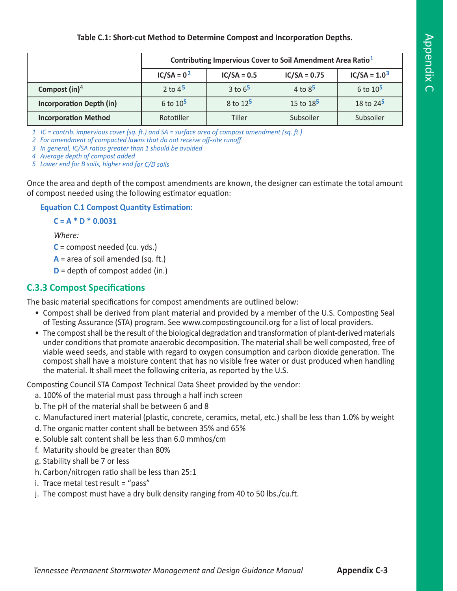#### **Table C.1: Short-cut Method to Determine Compost and Incorporation Depths.**

|                                 | Contributing Impervious Cover to Soil Amendment Area Ratio <sup>1</sup> |                      |                |                |
|---------------------------------|-------------------------------------------------------------------------|----------------------|----------------|----------------|
|                                 | $IC/SA = 02$                                                            | $IC/SA = 0.5$        | $IC/SA = 0.75$ | $IC/SA = 1.03$ |
| Compost $(in)^4$                | 2 to $4^{\frac{1}{2}}$                                                  | 3 to $65$            | 4 to $8^5$     | 6 to $10^5$    |
| <b>Incorporation Depth (in)</b> | 6 to $10^5$                                                             | 8 to 12 <sup>5</sup> | 15 to $18^5$   | 18 to $24^5$   |
| <b>Incorporation Method</b>     | Rototiller                                                              | Tiller               | Subsoiler      | Subsoiler      |

*1 IC = contrib. impervious cover (sq. ft.) and SA = surface area of compost amendment (sq. ft.)*

*2 For amendment of compacted lawns that do not receive off‐site runoff*

*3 In general, IC/SA ratios greater than 1 should be avoided*

*4 Average depth of compost added*

*5 Lower end for B soils, higher end for C/D soils*

Once the area and depth of the compost amendments are known, the designer can estimate the total amount of compost needed using the following estimator equation:

#### **Equation C.1 Compost Quantity Estimation:**

#### **C = A \* D \* 0.0031**

*Where:*

**C** = compost needed (cu. yds.)

 $A =$  area of soil amended (sq. ft.)

**D** = depth of compost added (in.)

#### **C.3.3 Compost Specifications**

The basic material specifications for compost amendments are outlined below:

- Compost shall be derived from plant material and provided by a member of the U.S. Composting Seal of Testing Assurance (STA) program. See www.compostingcouncil.org for a list of local providers.
- The compost shall be the result of the biological degradation and transformation of plant-derived materials under conditions that promote anaerobic decomposition. The material shall be well composted, free of viable weed seeds, and stable with regard to oxygen consumption and carbon dioxide generation. The compost shall have a moisture content that has no visible free water or dust produced when handling the material. It shall meet the following criteria, as reported by the U.S.

Composting Council STA Compost Technical Data Sheet provided by the vendor:

- a. 100% of the material must pass through a half inch screen
- b. The pH of the material shall be between 6 and 8
- c. Manufactured inert material (plastic, concrete, ceramics, metal, etc.) shall be less than 1.0% by weight
- d. The organic matter content shall be between 35% and 65%
- e. Soluble salt content shall be less than 6.0 mmhos/cm
- f. Maturity should be greater than 80%
- g. Stability shall be 7 or less
- h. Carbon/nitrogen ratio shall be less than 25:1
- i. Trace metal test result = "pass"
- j. The compost must have a dry bulk density ranging from 40 to 50 lbs./cu.ft.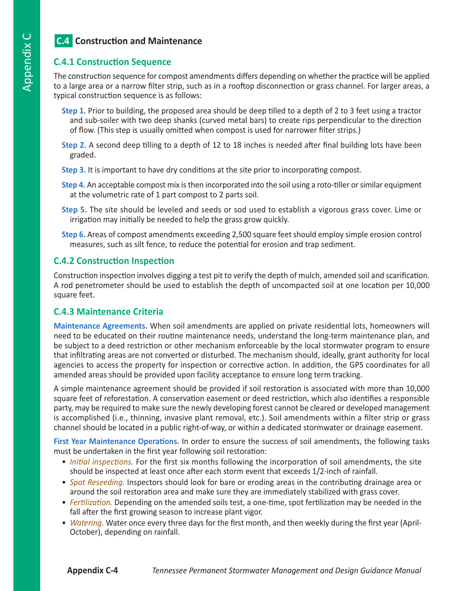# **C.4 Construction and Maintenance**

### **C.4.1 Construction Sequence**

The construction sequence for compost amendments differs depending on whether the practice will be applied to a large area or a narrow filter strip, such as in a rooftop disconnection or grass channel. For larger areas, a typical construction sequence is as follows:

- **Step 1.** Prior to building, the proposed area should be deep tilled to a depth of 2 to 3 feet using a tractor and sub-soiler with two deep shanks (curved metal bars) to create rips perpendicular to the direction of flow. (This step is usually omitted when compost is used for narrower filter strips.)
- **Step 2.** A second deep tilling to a depth of 12 to 18 inches is needed after final building lots have been graded.
- **Step 3.** It is important to have dry conditions at the site prior to incorporating compost.
- **Step 4.** An acceptable compost mix is then incorporated into the soil using a roto-tiller or similar equipment at the volumetric rate of 1 part compost to 2 parts soil.
- **Step 5.** The site should be leveled and seeds or sod used to establish a vigorous grass cover. Lime or irrigation may initially be needed to help the grass grow quickly.
- **Step 6.** Areas of compost amendments exceeding 2,500 square feet should employ simple erosion control measures, such as silt fence, to reduce the potential for erosion and trap sediment.

### **C.4.2 Construction Inspection**

Construction inspection involves digging a test pit to verify the depth of mulch, amended soil and scarification. A rod penetrometer should be used to establish the depth of uncompacted soil at one location per 10,000 square feet.

### **C.4.3 Maintenance Criteria**

**Maintenance Agreements.** When soil amendments are applied on private residential lots, homeowners will need to be educated on their routine maintenance needs, understand the long-term maintenance plan, and be subject to a deed restriction or other mechanism enforceable by the local stormwater program to ensure that infiltrating areas are not converted or disturbed. The mechanism should, ideally, grant authority for local agencies to access the property for inspection or corrective action. In addition, the GPS coordinates for all amended areas should be provided upon facility acceptance to ensure long term tracking.

A simple maintenance agreement should be provided if soil restoration is associated with more than 10,000 square feet of reforestation. A conservation easement or deed restriction, which also identifies a responsible party, may be required to make sure the newly developing forest cannot be cleared or developed management is accomplished (i.e., thinning, invasive plant removal, etc.). Soil amendments within a filter strip or grass channel should be located in a public right-of-way, or within a dedicated stormwater or drainage easement.

**First Year Maintenance Operations.** In order to ensure the success of soil amendments, the following tasks must be undertaken in the first year following soil restoration:

- *Initial inspections.* For the first six months following the incorporation of soil amendments, the site should be inspected at least once after each storm event that exceeds 1/2-inch of rainfall.
- *Spot Reseeding.* Inspectors should look for bare or eroding areas in the contributing drainage area or around the soil restoration area and make sure they are immediately stabilized with grass cover.
- *Fertilization.* Depending on the amended soils test, a one-time, spot fertilization may be needed in the fall after the first growing season to increase plant vigor.
- *Watering.* Water once every three days for the first month, and then weekly during the first year (April-October), depending on rainfall.